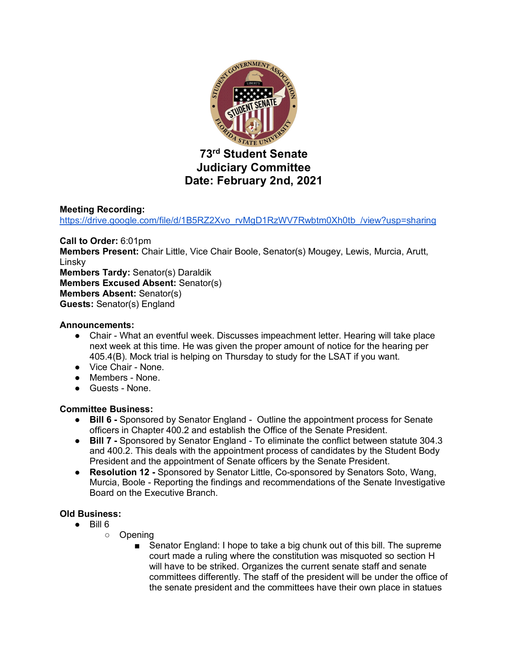

#### **Meeting Recording:**

https://drive.google.com/file/d/1B5RZ2Xvo\_rvMgD1RzWV7Rwbtm0Xh0tb\_/view?usp=sharing

**Call to Order:** 6:01pm **Members Present:** Chair Little, Vice Chair Boole, Senator(s) Mougey, Lewis, Murcia, Arutt, Linsky **Members Tardy:** Senator(s) Daraldik **Members Excused Absent:** Senator(s) **Members Absent:** Senator(s) **Guests:** Senator(s) England

#### **Announcements:**

- Chair What an eventful week. Discusses impeachment letter. Hearing will take place next week at this time. He was given the proper amount of notice for the hearing per 405.4(B). Mock trial is helping on Thursday to study for the LSAT if you want.
- Vice Chair None.
- Members None.
- Guests None.

#### **Committee Business:**

- **Bill 6 -** Sponsored by Senator England Outline the appointment process for Senate officers in Chapter 400.2 and establish the Office of the Senate President.
- **Bill 7** Sponsored by Senator England To eliminate the conflict between statute 304.3 and 400.2. This deals with the appointment process of candidates by the Student Body President and the appointment of Senate officers by the Senate President.
- **Resolution 12 -** Sponsored by Senator Little, Co-sponsored by Senators Soto, Wang, Murcia, Boole - Reporting the findings and recommendations of the Senate Investigative Board on the Executive Branch.

#### **Old Business:**

- $\bullet$  Bill 6
	- Opening
		- Senator England: I hope to take a big chunk out of this bill. The supreme court made a ruling where the constitution was misquoted so section H will have to be striked. Organizes the current senate staff and senate committees differently. The staff of the president will be under the office of the senate president and the committees have their own place in statues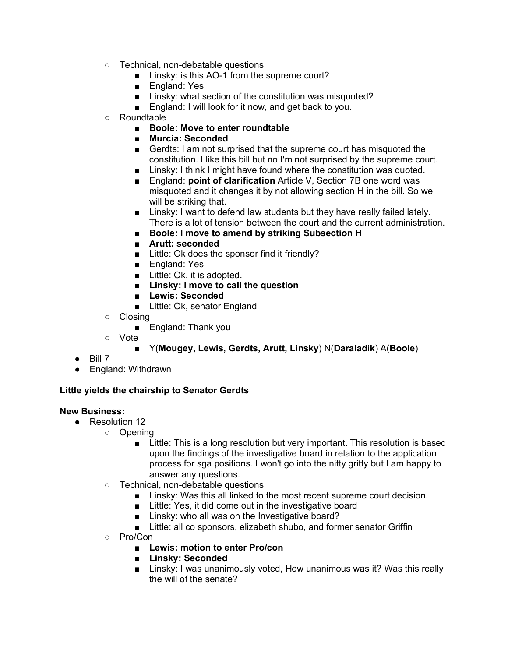- Technical, non-debatable questions
	- Linsky: is this AO-1 from the supreme court?
	- England: Yes
	- Linsky: what section of the constitution was misquoted?
	- England: I will look for it now, and get back to you.
- Roundtable
	- **Boole: Move to enter roundtable**
	- **Murcia: Seconded**
	- Gerdts: I am not surprised that the supreme court has misquoted the constitution. I like this bill but no I'm not surprised by the supreme court.
	- Linsky: I think I might have found where the constitution was quoted.
	- England: **point of clarification** Article V, Section 7B one word was misquoted and it changes it by not allowing section H in the bill. So we will be striking that.
	- Linsky: I want to defend law students but they have really failed lately. There is a lot of tension between the court and the current administration.
	- **Boole: I move to amend by striking Subsection H**
	- **Arutt: seconded**
	- Little: Ok does the sponsor find it friendly?
	- England: Yes
	- Little: Ok, it is adopted.
	- **Linsky: I move to call the question**
	- **Lewis: Seconded**
	- Little: Ok, senator England
- Closing
	- England: Thank you
- Vote
	- Y(**Mougey, Lewis, Gerdts, Arutt, Linsky**) N(**Daraladik**) A(**Boole**)
- $\bullet$  Bill 7
- England: Withdrawn

# **Little yields the chairship to Senator Gerdts**

## **New Business:**

- Resolution 12
	- Opening
		- Little: This is a long resolution but very important. This resolution is based upon the findings of the investigative board in relation to the application process for sga positions. I won't go into the nitty gritty but I am happy to answer any questions.
		- Technical, non-debatable questions
			- Linsky: Was this all linked to the most recent supreme court decision.
			- Little: Yes, it did come out in the investigative board
			- Linsky: who all was on the Investigative board?
			- Little: all co sponsors, elizabeth shubo, and former senator Griffin
		- Pro/Con
			- **Lewis: motion to enter Pro/con**
			- **Linsky: Seconded**
			- Linsky: I was unanimously voted, How unanimous was it? Was this really the will of the senate?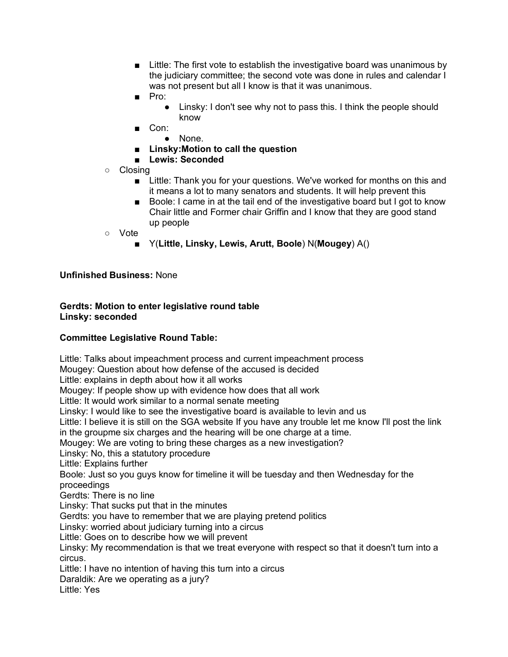- Little: The first vote to establish the investigative board was unanimous by the judiciary committee; the second vote was done in rules and calendar I was not present but all I know is that it was unanimous.
- Pro:
	- Linsky: I don't see why not to pass this. I think the people should know
- Con:
	- None.
- **Linsky:Motion to call the question**
- **Lewis: Seconded**
- Closing
	- Little: Thank you for your questions. We've worked for months on this and it means a lot to many senators and students. It will help prevent this
	- Boole: I came in at the tail end of the investigative board but I got to know Chair little and Former chair Griffin and I know that they are good stand up people
- Vote

## ■ Y(**Little, Linsky, Lewis, Arutt, Boole**) N(**Mougey**) A()

**Unfinished Business:** None

## **Gerdts: Motion to enter legislative round table Linsky: seconded**

## **Committee Legislative Round Table:**

Little: Talks about impeachment process and current impeachment process Mougey: Question about how defense of the accused is decided Little: explains in depth about how it all works Mougey: If people show up with evidence how does that all work Little: It would work similar to a normal senate meeting Linsky: I would like to see the investigative board is available to levin and us Little: I believe it is still on the SGA website If you have any trouble let me know I'll post the link in the groupme six charges and the hearing will be one charge at a time. Mougey: We are voting to bring these charges as a new investigation? Linsky: No, this a statutory procedure Little: Explains further Boole: Just so you guys know for timeline it will be tuesday and then Wednesday for the proceedings Gerdts: There is no line Linsky: That sucks put that in the minutes Gerdts: you have to remember that we are playing pretend politics Linsky: worried about judiciary turning into a circus Little: Goes on to describe how we will prevent Linsky: My recommendation is that we treat everyone with respect so that it doesn't turn into a circus. Little: I have no intention of having this turn into a circus Daraldik: Are we operating as a jury? Little: Yes